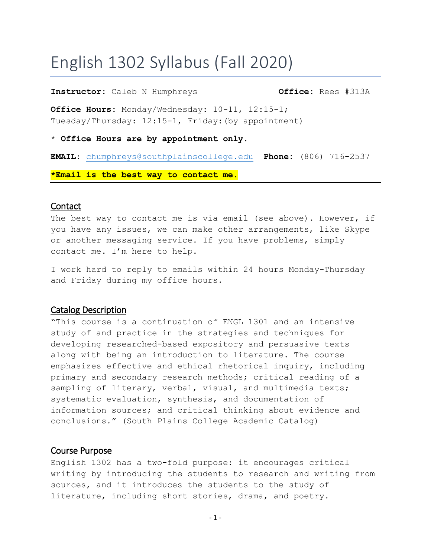# English 1302 Syllabus (Fall 2020)

#### **Instructor:** Caleb N Humphreys **Office:** Rees #313A

**Office Hours:** Monday/Wednesday: 10-11, 12:15-1; Tuesday/Thursday: 12:15-1, Friday:(by appointment)

\* **Office Hours are by appointment only.**

**EMAIL**: [chumphreys@southplainscollege.edu](mailto:chumphreys@southplainscollege.edu) **Phone:** (806) 716-2537

**\*Email is the best way to contact me.**

#### **Contact**

The best way to contact me is via email (see above). However, if you have any issues, we can make other arrangements, like Skype or another messaging service. If you have problems, simply contact me. I'm here to help.

I work hard to reply to emails within 24 hours Monday-Thursday and Friday during my office hours.

#### Catalog Description

"This course is a continuation of ENGL 1301 and an intensive study of and practice in the strategies and techniques for developing researched-based expository and persuasive texts along with being an introduction to literature. The course emphasizes effective and ethical rhetorical inquiry, including primary and secondary research methods; critical reading of a sampling of literary, verbal, visual, and multimedia texts; systematic evaluation, synthesis, and documentation of information sources; and critical thinking about evidence and conclusions." (South Plains College Academic Catalog)

## Course Purpose

English 1302 has a two-fold purpose: it encourages critical writing by introducing the students to research and writing from sources, and it introduces the students to the study of literature, including short stories, drama, and poetry.

- 1 -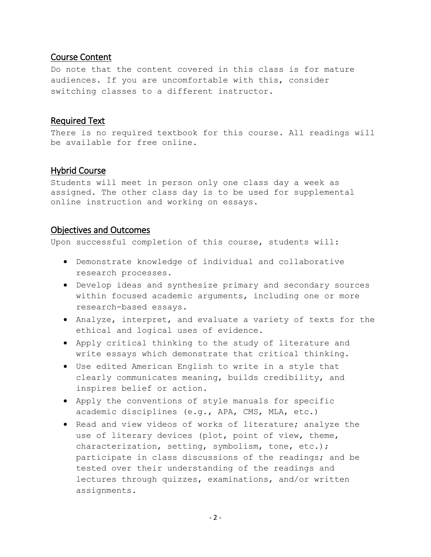## Course Content

Do note that the content covered in this class is for mature audiences. If you are uncomfortable with this, consider switching classes to a different instructor.

# Required Text

There is no required textbook for this course. All readings will be available for free online.

# Hybrid Course

Students will meet in person only one class day a week as assigned. The other class day is to be used for supplemental online instruction and working on essays.

# Objectives and Outcomes

Upon successful completion of this course, students will:

- Demonstrate knowledge of individual and collaborative research processes.
- Develop ideas and synthesize primary and secondary sources within focused academic arguments, including one or more research-based essays.
- Analyze, interpret, and evaluate a variety of texts for the ethical and logical uses of evidence.
- Apply critical thinking to the study of literature and write essays which demonstrate that critical thinking.
- Use edited American English to write in a style that clearly communicates meaning, builds credibility, and inspires belief or action.
- Apply the conventions of style manuals for specific academic disciplines (e.g., APA, CMS, MLA, etc.)
- Read and view videos of works of literature; analyze the use of literary devices (plot, point of view, theme, characterization, setting, symbolism, tone, etc.); participate in class discussions of the readings; and be tested over their understanding of the readings and lectures through quizzes, examinations, and/or written assignments.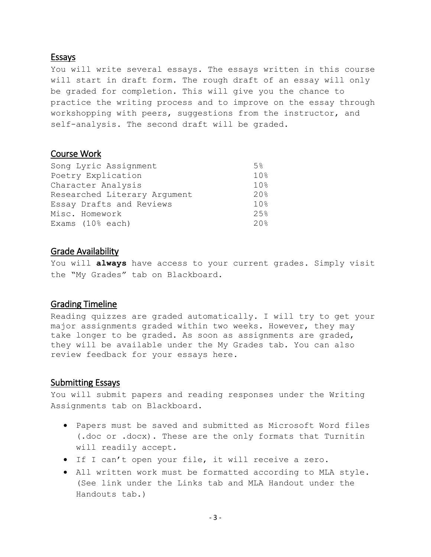#### Essays

You will write several essays. The essays written in this course will start in draft form. The rough draft of an essay will only be graded for completion. This will give you the chance to practice the writing process and to improve on the essay through workshopping with peers, suggestions from the instructor, and self-analysis. The second draft will be graded.

# Course Work

| Song Lyric Assignment        | 5%              |
|------------------------------|-----------------|
| Poetry Explication           | 10%             |
| Character Analysis           | 10%             |
| Researched Literary Argument | 20%             |
| Essay Drafts and Reviews     | 10 <sub>8</sub> |
| Misc. Homework               | 2.5%            |
| Exams $(108$ each)           | 20.8            |

#### Grade Availability

You will **always** have access to your current grades. Simply visit the "My Grades" tab on Blackboard.

## Grading Timeline

Reading quizzes are graded automatically. I will try to get your major assignments graded within two weeks. However, they may take longer to be graded. As soon as assignments are graded, they will be available under the My Grades tab. You can also review feedback for your essays here.

#### Submitting Essays

You will submit papers and reading responses under the Writing Assignments tab on Blackboard.

- Papers must be saved and submitted as Microsoft Word files (.doc or .docx). These are the only formats that Turnitin will readily accept.
- If I can't open your file, it will receive a zero.
- All written work must be formatted according to MLA style. (See link under the Links tab and MLA Handout under the Handouts tab.)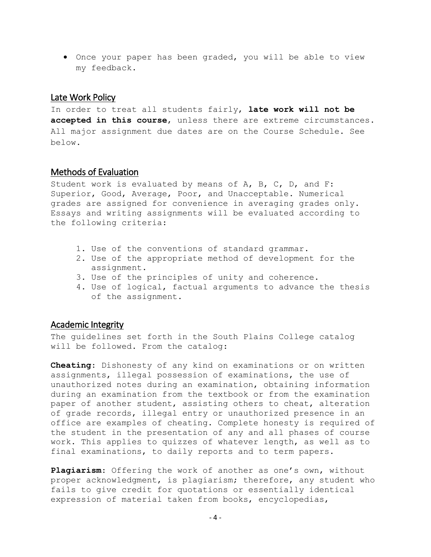Once your paper has been graded, you will be able to view my feedback.

### Late Work Policy

In order to treat all students fairly, **late work will not be accepted in this course**, unless there are extreme circumstances. All major assignment due dates are on the Course Schedule. See below.

## Methods of Evaluation

Student work is evaluated by means of A, B, C, D, and F: Superior, Good, Average, Poor, and Unacceptable. Numerical grades are assigned for convenience in averaging grades only. Essays and writing assignments will be evaluated according to the following criteria:

- 1. Use of the conventions of standard grammar.
- 2. Use of the appropriate method of development for the assignment.
- 3. Use of the principles of unity and coherence.
- 4. Use of logical, factual arguments to advance the thesis of the assignment.

#### Academic Integrity

The guidelines set forth in the South Plains College catalog will be followed. From the catalog:

**Cheating**: Dishonesty of any kind on examinations or on written assignments, illegal possession of examinations, the use of unauthorized notes during an examination, obtaining information during an examination from the textbook or from the examination paper of another student, assisting others to cheat, alteration of grade records, illegal entry or unauthorized presence in an office are examples of cheating. Complete honesty is required of the student in the presentation of any and all phases of course work. This applies to quizzes of whatever length, as well as to final examinations, to daily reports and to term papers.

**Plagiarism**: Offering the work of another as one's own, without proper acknowledgment, is plagiarism; therefore, any student who fails to give credit for quotations or essentially identical expression of material taken from books, encyclopedias,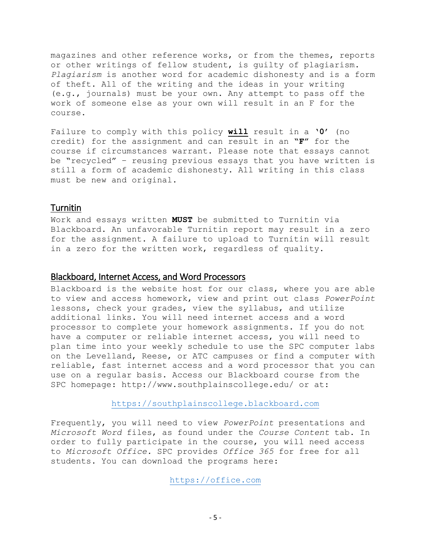magazines and other reference works, or from the themes, reports or other writings of fellow student, is guilty of plagiarism. *Plagiarism* is another word for academic dishonesty and is a form of theft. All of the writing and the ideas in your writing (e.g., journals) must be your own. Any attempt to pass off the work of someone else as your own will result in an F for the course.

Failure to comply with this policy **will** result in a **'0'** (no credit) for the assignment and can result in an **"F"** for the course if circumstances warrant. Please note that essays cannot be "recycled" – reusing previous essays that you have written is still a form of academic dishonesty. All writing in this class must be new and original.

## Turnitin

Work and essays written **MUST** be submitted to Turnitin via Blackboard. An unfavorable Turnitin report may result in a zero for the assignment. A failure to upload to Turnitin will result in a zero for the written work, regardless of quality.

## Blackboard, Internet Access, and Word Processors

Blackboard is the website host for our class, where you are able to view and access homework, view and print out class *PowerPoint* lessons, check your grades, view the syllabus, and utilize additional links. You will need internet access and a word processor to complete your homework assignments. If you do not have a computer or reliable internet access, you will need to plan time into your weekly schedule to use the SPC computer labs on the Levelland, Reese, or ATC campuses or find a computer with reliable, fast internet access and a word processor that you can use on a regular basis. Access our Blackboard course from the SPC homepage: http://www.southplainscollege.edu/ or at:

#### [https://southplainscollege.blackboard.com](https://southplainscollege.blackboard.com/)

Frequently, you will need to view *PowerPoint* presentations and *Microsoft Word* files, as found under the *Course Content* tab. In order to fully participate in the course, you will need access to *Microsoft Office.* SPC provides *Office 365* for free for all students. You can download the programs here:

[https://office.com](https://office.com/)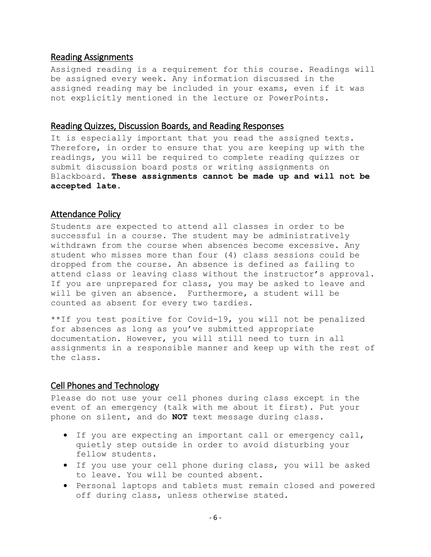#### Reading Assignments

Assigned reading is a requirement for this course. Readings will be assigned every week. Any information discussed in the assigned reading may be included in your exams, even if it was not explicitly mentioned in the lecture or PowerPoints.

#### Reading Quizzes, Discussion Boards, and Reading Responses

It is especially important that you read the assigned texts. Therefore, in order to ensure that you are keeping up with the readings, you will be required to complete reading quizzes or submit discussion board posts or writing assignments on Blackboard. **These assignments cannot be made up and will not be accepted late.**

#### Attendance Policy

Students are expected to attend all classes in order to be successful in a course. The student may be administratively withdrawn from the course when absences become excessive. Any student who misses more than four (4) class sessions could be dropped from the course. An absence is defined as failing to attend class or leaving class without the instructor's approval. If you are unprepared for class, you may be asked to leave and will be given an absence. Furthermore, a student will be counted as absent for every two tardies.

\*\*If you test positive for Covid-19, you will not be penalized for absences as long as you've submitted appropriate documentation. However, you will still need to turn in all assignments in a responsible manner and keep up with the rest of the class.

## Cell Phones and Technology

Please do not use your cell phones during class except in the event of an emergency (talk with me about it first). Put your phone on silent, and do **NOT** text message during class.

- If you are expecting an important call or emergency call, quietly step outside in order to avoid disturbing your fellow students.
- If you use your cell phone during class, you will be asked to leave. You will be counted absent.
- Personal laptops and tablets must remain closed and powered off during class, unless otherwise stated.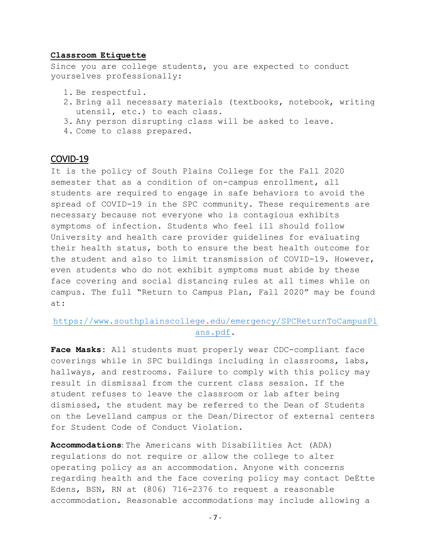#### **Classroom Etiquette**

Since you are college students, you are expected to conduct yourselves professionally:

- 1. Be respectful.
- 2. Bring all necessary materials (textbooks, notebook, writing utensil, etc.) to each class.
- 3. Any person disrupting class will be asked to leave.
- 4. Come to class prepared.

# COVID-19

It is the policy of South Plains College for the Fall 2020 semester that as a condition of on-campus enrollment, all students are required to engage in safe behaviors to avoid the spread of COVID-19 in the SPC community. These requirements are necessary because not everyone who is contagious exhibits symptoms of infection. Students who feel ill should follow University and health care provider guidelines for evaluating their health status, both to ensure the best health outcome for the student and also to limit transmission of COVID-19. However, even students who do not exhibit symptoms must abide by these face covering and social distancing rules at all times while on campus. The full "Return to Campus Plan, Fall 2020" may be found at:

## [https://www.southplainscollege.edu/emergency/SPCReturnToCampusPl](https://www.southplainscollege.edu/emergency/SPCReturnToCampusPlans.pdf) [ans.pdf.](https://www.southplainscollege.edu/emergency/SPCReturnToCampusPlans.pdf)

**Face Masks:** All students must properly wear CDC-compliant face coverings while in SPC buildings including in classrooms, labs, hallways, and restrooms. Failure to comply with this policy may result in dismissal from the current class session. If the student refuses to leave the classroom or lab after being dismissed, the student may be referred to the Dean of Students on the Levelland campus or the Dean/Director of external centers for Student Code of Conduct Violation.

**Accommodations**: The Americans with Disabilities Act (ADA) regulations do not require or allow the college to alter operating policy as an accommodation. Anyone with concerns regarding health and the face covering policy may contact DeEtte Edens, BSN, RN at (806) 716-2376 to request a reasonable accommodation. Reasonable accommodations may include allowing a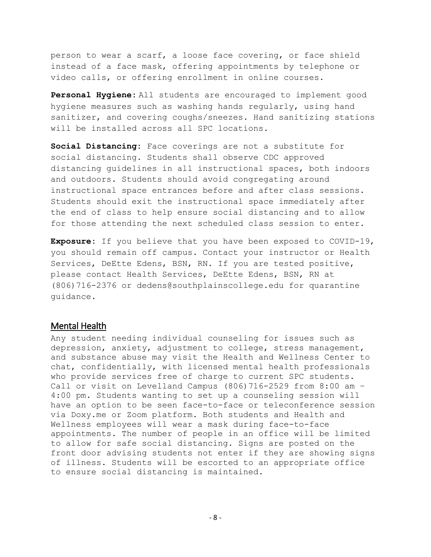person to wear a scarf, a loose face covering, or face shield instead of a face mask, offering appointments by telephone or video calls, or offering enrollment in online courses.

**Personal Hygiene:** All students are encouraged to implement good hygiene measures such as washing hands regularly, using hand sanitizer, and covering coughs/sneezes. Hand sanitizing stations will be installed across all SPC locations.

**Social Distancing:** Face coverings are not a substitute for social distancing. Students shall observe CDC approved distancing guidelines in all instructional spaces, both indoors and outdoors. Students should avoid congregating around instructional space entrances before and after class sessions. Students should exit the instructional space immediately after the end of class to help ensure social distancing and to allow for those attending the next scheduled class session to enter.

**Exposure:** If you believe that you have been exposed to COVID-19, you should remain off campus. Contact your instructor or Health Services, DeEtte Edens, BSN, RN. If you are tested positive, please contact Health Services, DeEtte Edens, BSN, RN at (806)716-2376 or dedens@southplainscollege.edu for quarantine guidance.

#### Mental Health

Any student needing individual counseling for issues such as depression, anxiety, adjustment to college, stress management, and substance abuse may visit the Health and Wellness Center to chat, confidentially, with licensed mental health professionals who provide services free of charge to current SPC students. Call or visit on Levelland Campus  $(806)$  716-2529 from 8:00 am -4:00 pm. Students wanting to set up a counseling session will have an option to be seen face-to-face or teleconference session via Doxy.me or Zoom platform. Both students and Health and Wellness employees will wear a mask during face-to-face appointments. The number of people in an office will be limited to allow for safe social distancing. Signs are posted on the front door advising students not enter if they are showing signs of illness. Students will be escorted to an appropriate office to ensure social distancing is maintained.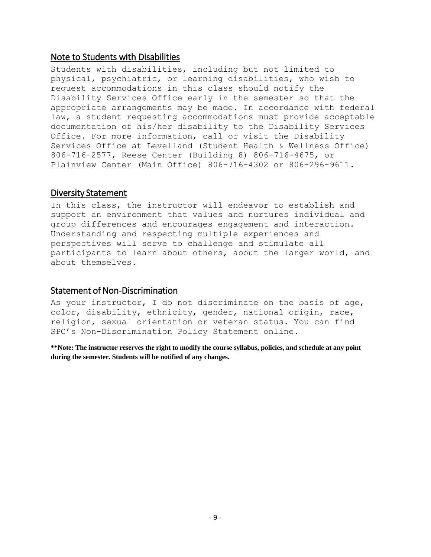## Note to Students with Disabilities

Students with disabilities, including but not limited to physical, psychiatric, or learning disabilities, who wish to request accommodations in this class should notify the Disability Services Office early in the semester so that the appropriate arrangements may be made. In accordance with federal law, a student requesting accommodations must provide acceptable documentation of his/her disability to the Disability Services Office. For more information, call or visit the Disability Services Office at Levelland (Student Health & Wellness Office) 806-716-2577, Reese Center (Building 8) 806-716-4675, or Plainview Center (Main Office) 806-716-4302 or 806-296-9611.

## Diversity Statement

In this class, the instructor will endeavor to establish and support an environment that values and nurtures individual and group differences and encourages engagement and interaction. Understanding and respecting multiple experiences and perspectives will serve to challenge and stimulate all participants to learn about others, about the larger world, and about themselves.

# Statement of Non-Discrimination

As your instructor, I do not discriminate on the basis of age, color, disability, ethnicity, gender, national origin, race, religion, sexual orientation or veteran status. You can find SPC's Non-Discrimination Policy Statement online.

**\*\*Note: The instructor reserves the right to modify the course syllabus, policies, and schedule at any point during the semester. Students will be notified of any changes.**